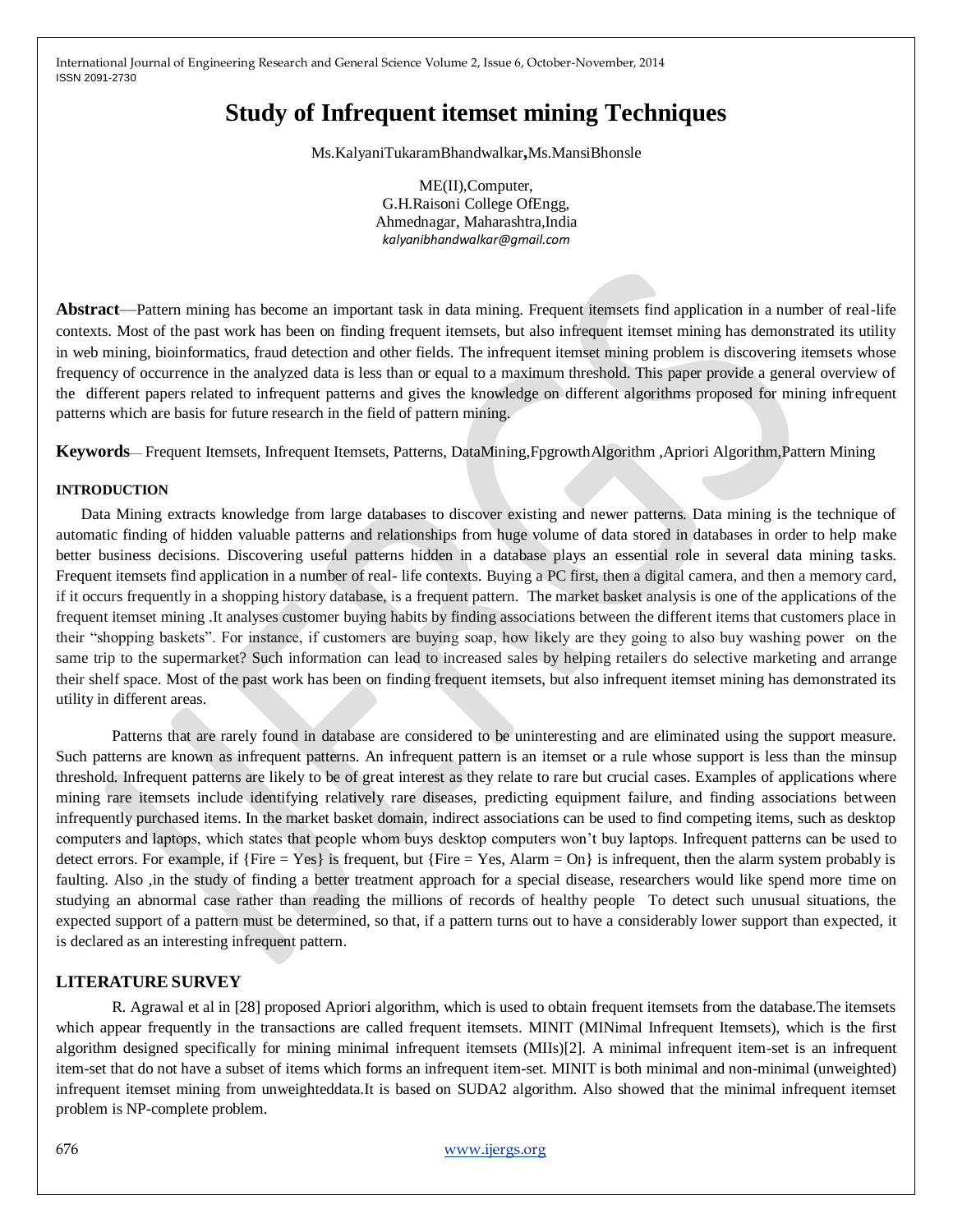# **Study of Infrequent itemset mining Techniques**

Ms.KalyaniTukaramBhandwalkar**,**Ms.MansiBhonsle

ME(II),Computer, G.H.Raisoni College OfEngg, Ahmednagar, Maharashtra,India *kalyanibhandwalkar@gmail.com*

**Abstract**—Pattern mining has become an important task in data mining. Frequent itemsets find application in a number of real-life contexts. Most of the past work has been on finding frequent itemsets, but also infrequent itemset mining has demonstrated its utility in web mining, bioinformatics, fraud detection and other fields. The infrequent itemset mining problem is discovering itemsets whose frequency of occurrence in the analyzed data is less than or equal to a maximum threshold. This paper provide a general overview of the different papers related to infrequent patterns and gives the knowledge on different algorithms proposed for mining infrequent patterns which are basis for future research in the field of pattern mining.

**Keywords**— Frequent Itemsets, Infrequent Itemsets, Patterns, DataMining,FpgrowthAlgorithm ,Apriori Algorithm,Pattern Mining

### **INTRODUCTION**

Data Mining extracts knowledge from large databases to discover existing and newer patterns. Data mining is the technique of automatic finding of hidden valuable patterns and relationships from huge volume of data stored in databases in order to help make better business decisions. Discovering useful patterns hidden in a database plays an essential role in several data mining tasks. Frequent itemsets find application in a number of real- life contexts. Buying a PC first, then a digital camera, and then a memory card, if it occurs frequently in a shopping history database, is a frequent pattern. The market basket analysis is one of the applications of the frequent itemset mining .It analyses customer buying habits by finding associations between the different items that customers place in their "shopping baskets". For instance, if customers are buying soap, how likely are they going to also buy washing power on the same trip to the supermarket? Such information can lead to increased sales by helping retailers do selective marketing and arrange their shelf space. Most of the past work has been on finding frequent itemsets, but also infrequent itemset mining has demonstrated its utility in different areas.

Patterns that are rarely found in database are considered to be uninteresting and are eliminated using the support measure. Such patterns are known as infrequent patterns. An infrequent pattern is an itemset or a rule whose support is less than the minsup threshold. Infrequent patterns are likely to be of great interest as they relate to rare but crucial cases. Examples of applications where mining rare itemsets include identifying relatively rare diseases, predicting equipment failure, and finding associations between infrequently purchased items. In the market basket domain, indirect associations can be used to find competing items, such as desktop computers and laptops, which states that people whom buys desktop computers won't buy laptops. Infrequent patterns can be used to detect errors. For example, if  ${Fire = Yes}$  is frequent, but  ${Fire = Yes}$ , Alarm = On is infrequent, then the alarm system probably is faulting. Also ,in the study of finding a better treatment approach for a special disease, researchers would like spend more time on studying an abnormal case rather than reading the millions of records of healthy people To detect such unusual situations, the expected support of a pattern must be determined, so that, if a pattern turns out to have a considerably lower support than expected, it is declared as an interesting infrequent pattern.

## **LITERATURE SURVEY**

R. Agrawal et al in [28] proposed Apriori algorithm, which is used to obtain frequent itemsets from the database.The itemsets which appear frequently in the transactions are called frequent itemsets. MINIT (MINimal Infrequent Itemsets), which is the first algorithm designed specifically for mining minimal infrequent itemsets (MIIs)[2]. A minimal infrequent item-set is an infrequent item-set that do not have a subset of items which forms an infrequent item-set. MINIT is both minimal and non-minimal (unweighted) infrequent itemset mining from unweighteddata.It is based on SUDA2 algorithm. Also showed that the minimal infrequent itemset problem is NP-complete problem.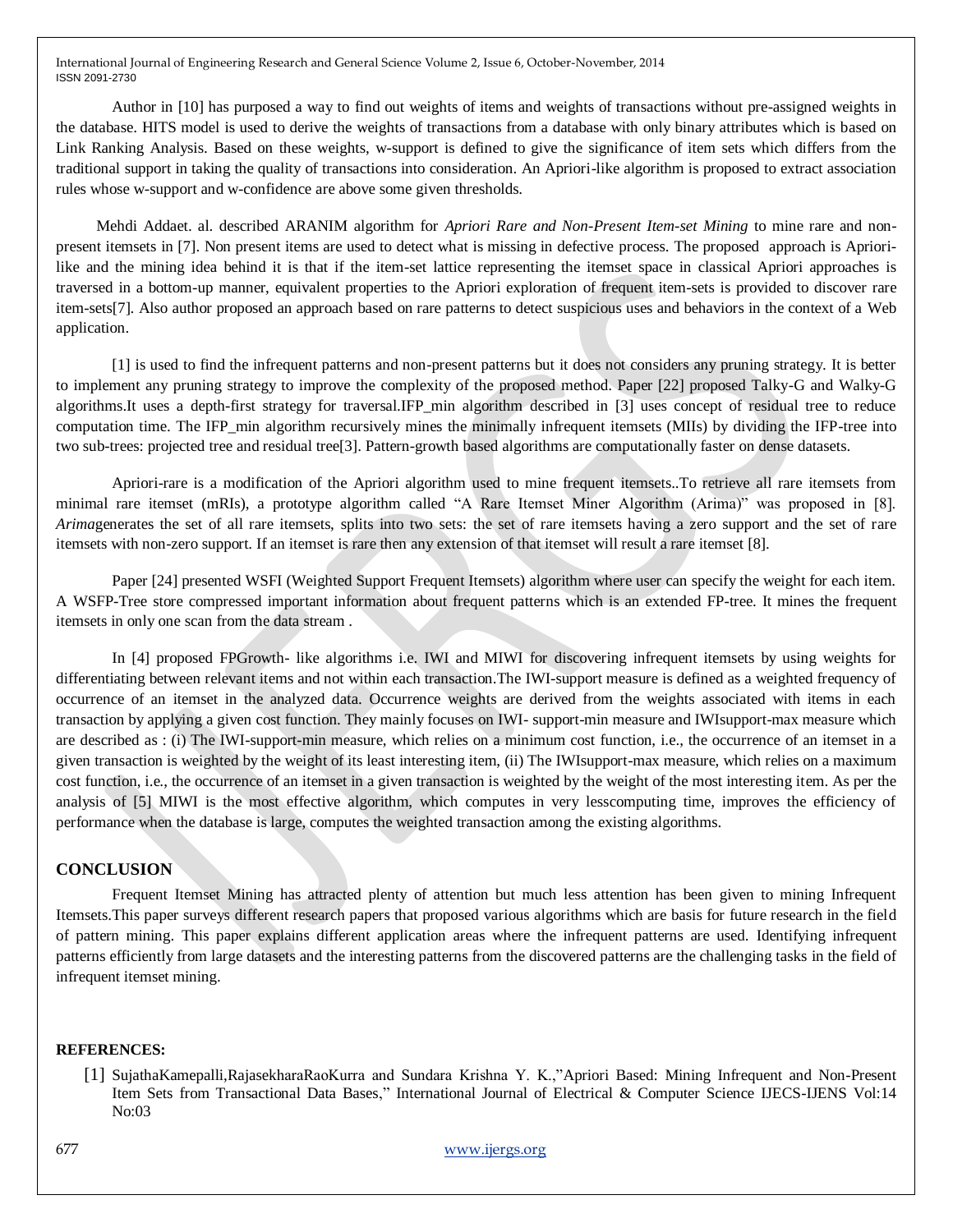Author in [10] has purposed a way to find out weights of items and weights of transactions without pre-assigned weights in the database. HITS model is used to derive the weights of transactions from a database with only binary attributes which is based on Link Ranking Analysis. Based on these weights, w-support is defined to give the significance of item sets which differs from the traditional support in taking the quality of transactions into consideration. An Apriori-like algorithm is proposed to extract association rules whose w-support and w-confidence are above some given thresholds.

Mehdi Addaet. al. described ARANIM algorithm for *Apriori Rare and Non-Present Item-set Mining* to mine rare and nonpresent itemsets in [7]. Non present items are used to detect what is missing in defective process. The proposed approach is Apriorilike and the mining idea behind it is that if the item-set lattice representing the itemset space in classical Apriori approaches is traversed in a bottom-up manner, equivalent properties to the Apriori exploration of frequent item-sets is provided to discover rare item-sets[7]. Also author proposed an approach based on rare patterns to detect suspicious uses and behaviors in the context of a Web application.

[1] is used to find the infrequent patterns and non-present patterns but it does not considers any pruning strategy. It is better to implement any pruning strategy to improve the complexity of the proposed method. Paper [22] proposed Talky-G and Walky-G algorithms.It uses a depth-first strategy for traversal.IFP\_min algorithm described in [3] uses concept of residual tree to reduce computation time. The IFP\_min algorithm recursively mines the minimally infrequent itemsets (MIIs) by dividing the IFP-tree into two sub-trees: projected tree and residual tree[3]. Pattern-growth based algorithms are computationally faster on dense datasets.

Apriori-rare is a modification of the Apriori algorithm used to mine frequent itemsets..To retrieve all rare itemsets from minimal rare itemset (mRIs), a prototype algorithm called "A Rare Itemset Miner Algorithm (Arima)" was proposed in [8]. *Arima*generates the set of all rare itemsets, splits into two sets: the set of rare itemsets having a zero support and the set of rare itemsets with non-zero support. If an itemset is rare then any extension of that itemset will result a rare itemset [8].

Paper [24] presented WSFI (Weighted Support Frequent Itemsets) algorithm where user can specify the weight for each item. A WSFP-Tree store compressed important information about frequent patterns which is an extended FP-tree. It mines the frequent itemsets in only one scan from the data stream .

In [4] proposed FPGrowth- like algorithms i.e. IWI and MIWI for discovering infrequent itemsets by using weights for differentiating between relevant items and not within each transaction.The IWI-support measure is defined as a weighted frequency of occurrence of an itemset in the analyzed data. Occurrence weights are derived from the weights associated with items in each transaction by applying a given cost function. They mainly focuses on IWI- support-min measure and IWIsupport-max measure which are described as : (i) The IWI-support-min measure, which relies on a minimum cost function, i.e., the occurrence of an itemset in a given transaction is weighted by the weight of its least interesting item, (ii) The IWIsupport-max measure, which relies on a maximum cost function, i.e., the occurrence of an itemset in a given transaction is weighted by the weight of the most interesting item. As per the analysis of [5] MIWI is the most effective algorithm, which computes in very lesscomputing time, improves the efficiency of performance when the database is large, computes the weighted transaction among the existing algorithms.

# **CONCLUSION**

Frequent Itemset Mining has attracted plenty of attention but much less attention has been given to mining Infrequent Itemsets.This paper surveys different research papers that proposed various algorithms which are basis for future research in the field of pattern mining. This paper explains different application areas where the infrequent patterns are used. Identifying infrequent patterns efficiently from large datasets and the interesting patterns from the discovered patterns are the challenging tasks in the field of infrequent itemset mining.

#### **REFERENCES:**

[1] SujathaKamepalli,RajasekharaRaoKurra and Sundara Krishna Y. K.,"Apriori Based: Mining Infrequent and Non-Present Item Sets from Transactional Data Bases," International Journal of Electrical & Computer Science IJECS-IJENS Vol:14 No:03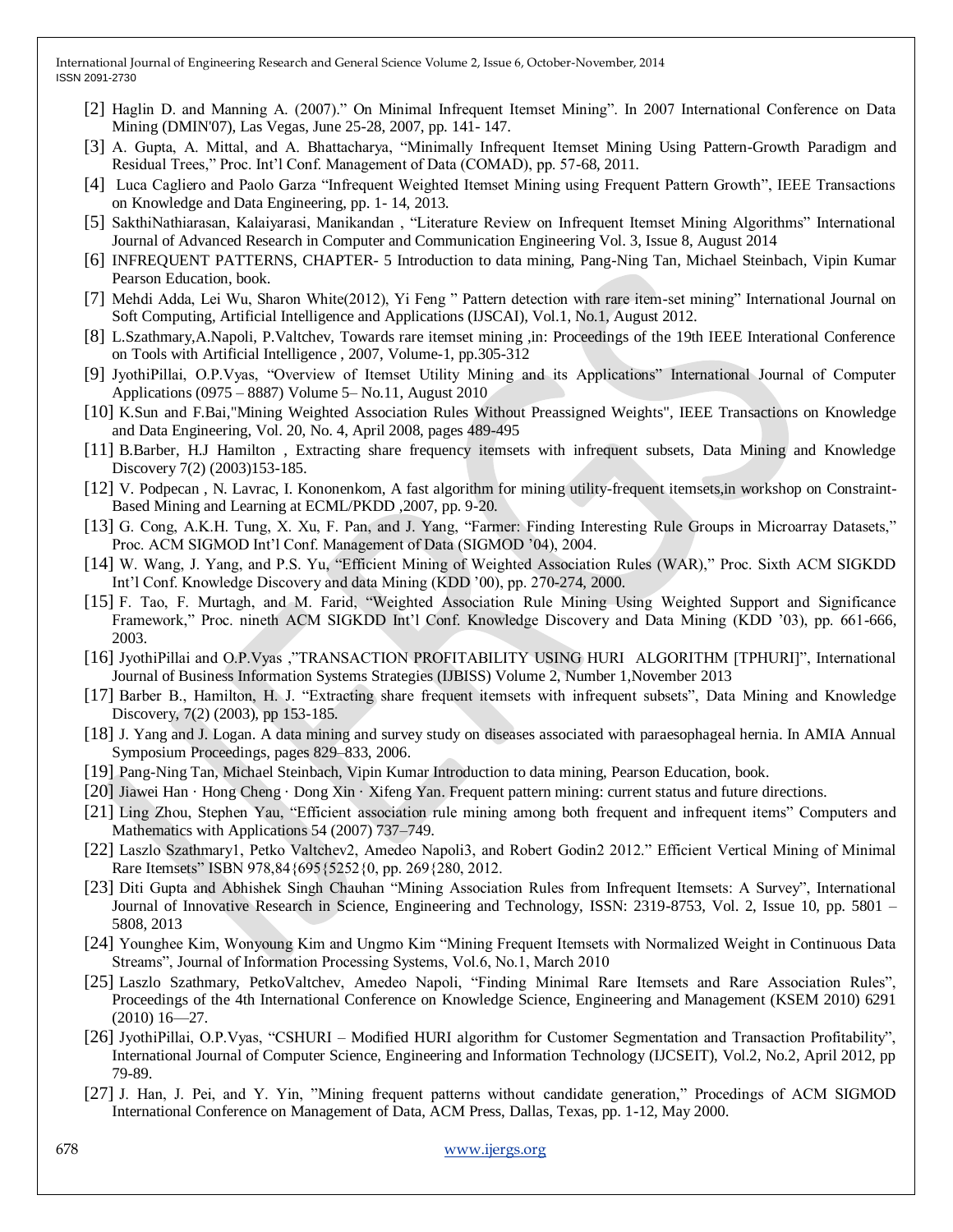- [2] Haglin D. and Manning A. (2007)." On Minimal Infrequent Itemset Mining". In 2007 International Conference on Data Mining (DMIN'07), Las Vegas, June 25-28, 2007, pp. 141- 147.
- [3] A. Gupta, A. Mittal, and A. Bhattacharya, "Minimally Infrequent Itemset Mining Using Pattern-Growth Paradigm and Residual Trees," Proc. Int'l Conf. Management of Data (COMAD), pp. 57-68, 2011.
- [4] Luca Cagliero and Paolo Garza "Infrequent Weighted Itemset Mining using Frequent Pattern Growth", IEEE Transactions on Knowledge and Data Engineering, pp. 1- 14, 2013.
- [5] SakthiNathiarasan, Kalaiyarasi, Manikandan, "Literature Review on Infrequent Itemset Mining Algorithms" International Journal of Advanced Research in Computer and Communication Engineering Vol. 3, Issue 8, August 2014
- [6] INFREQUENT PATTERNS, CHAPTER- 5 Introduction to data mining, Pang-Ning Tan, Michael Steinbach, Vipin Kumar Pearson Education, book.
- [7] Mehdi Adda, Lei Wu, Sharon White(2012), Yi Feng " Pattern detection with rare item-set mining" International Journal on Soft Computing, Artificial Intelligence and Applications (IJSCAI), Vol.1, No.1, August 2012.
- [8] L.Szathmary,A.Napoli, P.Valtchev, Towards rare itemset mining ,in: Proceedings of the 19th IEEE Interational Conference on Tools with Artificial Intelligence , 2007, Volume-1, pp.305-312
- [9] JyothiPillai, O.P.Vyas, "Overview of Itemset Utility Mining and its Applications" International Journal of Computer Applications (0975 – 8887) Volume 5– No.11, August 2010
- [10] K.Sun and F.Bai,"Mining Weighted Association Rules Without Preassigned Weights", IEEE Transactions on Knowledge and Data Engineering, Vol. 20, No. 4, April 2008, pages 489-495
- [11] B.Barber, H.J Hamilton , Extracting share frequency itemsets with infrequent subsets, Data Mining and Knowledge Discovery 7(2) (2003)153-185.
- [12] V. Podpecan , N. Lavrac, I. Kononenkom, A fast algorithm for mining utility-frequent itemsets,in workshop on Constraint-Based Mining and Learning at ECML/PKDD ,2007, pp. 9-20.
- [13] G. Cong, A.K.H. Tung, X. Xu, F. Pan, and J. Yang, "Farmer: Finding Interesting Rule Groups in Microarray Datasets," Proc. ACM SIGMOD Int'l Conf. Management of Data (SIGMOD '04), 2004.
- [14] W. Wang, J. Yang, and P.S. Yu, "Efficient Mining of Weighted Association Rules (WAR)," Proc. Sixth ACM SIGKDD Int'l Conf. Knowledge Discovery and data Mining (KDD '00), pp. 270-274, 2000.
- [15] F. Tao, F. Murtagh, and M. Farid, "Weighted Association Rule Mining Using Weighted Support and Significance Framework," Proc. nineth ACM SIGKDD Int'l Conf. Knowledge Discovery and Data Mining (KDD '03), pp. 661-666, 2003.
- [16] JyothiPillai and O.P.Vyas ,"TRANSACTION PROFITABILITY USING HURI ALGORITHM [TPHURI]", International Journal of Business Information Systems Strategies (IJBISS) Volume 2, Number 1,November 2013
- [17] Barber B., Hamilton, H. J. "Extracting share frequent itemsets with infrequent subsets", Data Mining and Knowledge Discovery, 7(2) (2003), pp 153-185.
- [18] J. Yang and J. Logan. A data mining and survey study on diseases associated with paraesophageal hernia. In AMIA Annual Symposium Proceedings, pages 829–833, 2006.
- [19] Pang-Ning Tan, Michael Steinbach, Vipin Kumar Introduction to data mining, Pearson Education, book.
- [20] Jiawei Han · Hong Cheng · Dong Xin · Xifeng Yan. Frequent pattern mining: current status and future directions.
- [21] Ling Zhou, Stephen Yau, "Efficient association rule mining among both frequent and infrequent items" Computers and Mathematics with Applications 54 (2007) 737–749.
- [22] Laszlo Szathmary1, Petko Valtchev2, Amedeo Napoli3, and Robert Godin2 2012." Efficient Vertical Mining of Minimal Rare Itemsets" ISBN 978,84{695{5252{0, pp. 269{280, 2012.
- [23] Diti Gupta and Abhishek Singh Chauhan "Mining Association Rules from Infrequent Itemsets: A Survey", International Journal of Innovative Research in Science, Engineering and Technology, ISSN: 2319-8753, Vol. 2, Issue 10, pp. 5801 – 5808, 2013
- [24] Younghee Kim, Wonyoung Kim and Ungmo Kim "Mining Frequent Itemsets with Normalized Weight in Continuous Data Streams", Journal of Information Processing Systems, Vol.6, No.1, March 2010
- [25] Laszlo Szathmary, PetkoValtchev, Amedeo Napoli, "Finding Minimal Rare Itemsets and Rare Association Rules", Proceedings of the 4th International Conference on Knowledge Science, Engineering and Management (KSEM 2010) 6291 (2010) 16—27.
- [26] JyothiPillai, O.P.Vyas, "CSHURI Modified HURI algorithm for Customer Segmentation and Transaction Profitability", International Journal of Computer Science, Engineering and Information Technology (IJCSEIT), Vol.2, No.2, April 2012, pp 79-89.
- [27] J. Han, J. Pei, and Y. Yin, "Mining frequent patterns without candidate generation," Procedings of ACM SIGMOD International Conference on Management of Data, ACM Press, Dallas, Texas, pp. 1-12, May 2000.